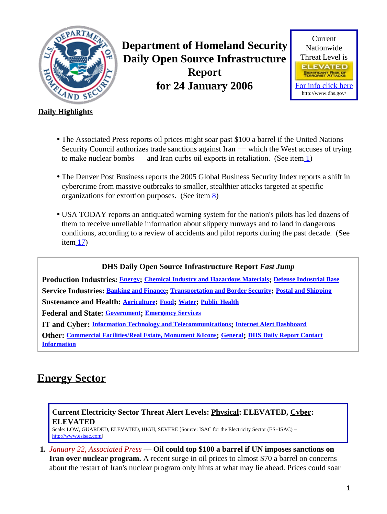<span id="page-0-2"></span>

**Department of Homeland Security Daily Open Source Infrastructure Report for 24 January 2006**



### **Daily Highlights**

- The Associated Press reports oil prices might soar past \$100 a barrel if the United Nations Security Council authorizes trade sanctions against Iran — which the West accuses of trying to make nuclear bombs −− and Iran curbs oil exports in retaliation. (See ite[m 1](#page-0-0))
- The Denver Post Business reports the 2005 Global Business Security Index reports a shift in cybercrime from massive outbreaks to smaller, stealthier attacks targeted at specific organizations for extortion purposes. (See item  $\frac{8}{2}$ )
- USA TODAY reports an antiquated warning system for the nation's pilots has led dozens of them to receive unreliable information about slippery runways and to land in dangerous conditions, according to a review of accidents and pilot reports during the past decade. (See ite[m 17](#page-6-0))

### **DHS Daily Open Source Infrastructure Report** *Fast Jump*

**Production Industries: [Energy](#page-0-1); [Chemical Industry and Hazardous Materials](#page-2-0); [Defense Industrial Base](#page-2-1) Service Industries: [Banking and Finance](#page-3-1); [Transportation and Border Security](#page-4-0); [Postal and Shipping](#page-7-0) Sustenance and Health: [Agriculture](#page-7-1); [Food](#page-9-0); [Water](#page-9-1); [Public Health](#page-10-0) Federal and State: [Government](#page-11-0); [Emergency Services](#page-12-0) IT and Cyber: [Information Technology and Telecommunications](#page-14-0); [Internet Alert Dashboard](#page-16-0) Other: [Commercial Facilities/Real Estate, Monument &Icons](#page-17-0); [General](#page-17-1); [DHS Daily Report Contact](#page-18-0) [Information](#page-18-0)**

# <span id="page-0-1"></span>**Energy Sector**

### **Current Electricity Sector Threat Alert Levels: Physical: ELEVATED, Cyber: ELEVATED**

Scale: LOW, GUARDED, ELEVATED, HIGH, SEVERE [Source: ISAC for the Electricity Sector (ES−ISAC) − [http://www.esisac.com](http://esisac.com)]

<span id="page-0-0"></span>**1.** *January 22, Associated Press* — **Oil could top \$100 a barrel if UN imposes sanctions on Iran over nuclear program.** A recent surge in oil prices to almost \$70 a barrel on concerns about the restart of Iran's nuclear program only hints at what may lie ahead. Prices could soar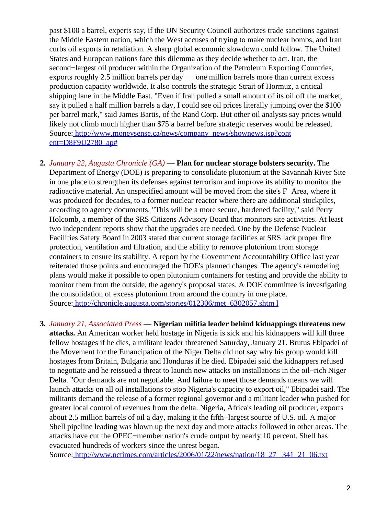past \$100 a barrel, experts say, if the UN Security Council authorizes trade sanctions against the Middle Eastern nation, which the West accuses of trying to make nuclear bombs, and Iran curbs oil exports in retaliation. A sharp global economic slowdown could follow. The United States and European nations face this dilemma as they decide whether to act. Iran, the second−largest oil producer within the Organization of the Petroleum Exporting Countries, exports roughly 2.5 million barrels per day −− one million barrels more than current excess production capacity worldwide. It also controls the strategic Strait of Hormuz, a critical shipping lane in the Middle East. "Even if Iran pulled a small amount of its oil off the market, say it pulled a half million barrels a day, I could see oil prices literally jumping over the \$100 per barrel mark," said James Bartis, of the Rand Corp. But other oil analysts say prices would likely not climb much higher than \$75 a barrel before strategic reserves would be released. Source[: http://www.moneysense.ca/news/company\\_news/shownews.jsp?cont](http://www.moneysense.ca/news/company_news/shownews.jsp?content=D8F9U2780_ap#) [ent=D8F9U2780\\_ap#](http://www.moneysense.ca/news/company_news/shownews.jsp?content=D8F9U2780_ap#)

- **2.** *January 22, Augusta Chronicle (GA)* — **Plan for nuclear storage bolsters security.** The Department of Energy (DOE) is preparing to consolidate plutonium at the Savannah River Site in one place to strengthen its defenses against terrorism and improve its ability to monitor the radioactive material. An unspecified amount will be moved from the site's F−Area, where it was produced for decades, to a former nuclear reactor where there are additional stockpiles, according to agency documents. "This will be a more secure, hardened facility," said Perry Holcomb, a member of the SRS Citizens Advisory Board that monitors site activities. At least two independent reports show that the upgrades are needed. One by the Defense Nuclear Facilities Safety Board in 2003 stated that current storage facilities at SRS lack proper fire protection, ventilation and filtration, and the ability to remove plutonium from storage containers to ensure its stability. A report by the Government Accountability Office last year reiterated those points and encouraged the DOE's planned changes. The agency's remodeling plans would make it possible to open plutonium containers for testing and provide the ability to monitor them from the outside, the agency's proposal states. A DOE committee is investigating the consolidation of excess plutonium from around the country in one place. Source[: http://chronicle.augusta.com/stories/012306/met\\_6302057.shtm l](http://chronicle.augusta.com/stories/012306/met_6302057.shtml)
- **3.** *January 21, Associated Press* — **Nigerian militia leader behind kidnappings threatens new attacks.** An American worker held hostage in Nigeria is sick and his kidnappers will kill three fellow hostages if he dies, a militant leader threatened Saturday, January 21. Brutus Ebipadei of the Movement for the Emancipation of the Niger Delta did not say why his group would kill hostages from Britain, Bulgaria and Honduras if he died. Ebipadei said the kidnappers refused to negotiate and he reissued a threat to launch new attacks on installations in the oil−rich Niger Delta. "Our demands are not negotiable. And failure to meet those demands means we will launch attacks on all oil installations to stop Nigeria's capacity to export oil," Ebipadei said. The militants demand the release of a former regional governor and a militant leader who pushed for greater local control of revenues from the delta. Nigeria, Africa's leading oil producer, exports about 2.5 million barrels of oil a day, making it the fifth−largest source of U.S. oil. A major Shell pipeline leading was blown up the next day and more attacks followed in other areas. The attacks have cut the OPEC−member nation's crude output by nearly 10 percent. Shell has evacuated hundreds of workers since the unrest began.

Source[: http://www.nctimes.com/articles/2006/01/22/news/nation/18\\_27 \\_341\\_21\\_06.txt](http://www.nctimes.com/articles/2006/01/22/news/nation/18_27_341_21_06.txt)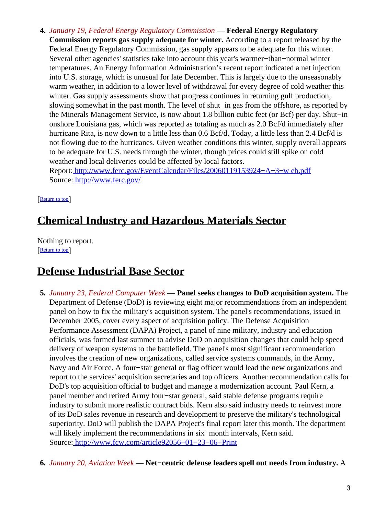- **4.** *January 19, Federal Energy Regulatory Commission* — **Federal Energy Regulatory**
	- **Commission reports gas supply adequate for winter.** According to a report released by the Federal Energy Regulatory Commission, gas supply appears to be adequate for this winter. Several other agencies' statistics take into account this year's warmer−than−normal winter temperatures. An Energy Information Administration's recent report indicated a net injection into U.S. storage, which is unusual for late December. This is largely due to the unseasonably warm weather, in addition to a lower level of withdrawal for every degree of cold weather this winter. Gas supply assessments show that progress continues in returning gulf production, slowing somewhat in the past month. The level of shut−in gas from the offshore, as reported by the Minerals Management Service, is now about 1.8 billion cubic feet (or Bcf) per day. Shut−in onshore Louisiana gas, which was reported as totaling as much as 2.0 Bcf/d immediately after hurricane Rita, is now down to a little less than 0.6 Bcf/d. Today, a little less than 2.4 Bcf/d is not flowing due to the hurricanes. Given weather conditions this winter, supply overall appears to be adequate for U.S. needs through the winter, though prices could still spike on cold weather and local deliveries could be affected by local factors.

Report: [http://www.ferc.gov/EventCalendar/Files/20060119153924−A−3−w eb.pdf](http://www.ferc.gov/EventCalendar/Files/20060119153924-A-3-web.pdf) Source[: http://www.ferc.gov/](http://www.ferc.gov/)

[[Return to top](#page-0-2)]

# <span id="page-2-0"></span>**Chemical Industry and Hazardous Materials Sector**

Nothing to report. [[Return to top](#page-0-2)]

## <span id="page-2-1"></span>**Defense Industrial Base Sector**

- **5.** *January 23, Federal Computer Week* — **Panel seeks changes to DoD acquisition system.** The Department of Defense (DoD) is reviewing eight major recommendations from an independent panel on how to fix the military's acquisition system. The panel's recommendations, issued in December 2005, cover every aspect of acquisition policy. The Defense Acquisition Performance Assessment (DAPA) Project, a panel of nine military, industry and education officials, was formed last summer to advise DoD on acquisition changes that could help speed delivery of weapon systems to the battlefield. The panel's most significant recommendation involves the creation of new organizations, called service systems commands, in the Army, Navy and Air Force. A four−star general or flag officer would lead the new organizations and report to the services' acquisition secretaries and top officers. Another recommendation calls for DoD's top acquisition official to budget and manage a modernization account. Paul Kern, a panel member and retired Army four−star general, said stable defense programs require industry to submit more realistic contract bids. Kern also said industry needs to reinvest more of its DoD sales revenue in research and development to preserve the military's technological superiority. DoD will publish the DAPA Project's final report later this month. The department will likely implement the recommendations in six−month intervals, Kern said. Source[: http://www.fcw.com/article92056−01−23−06−Print](http://www.fcw.com/article92056-01-23-06-Print)
- **6.** *January 20, Aviation Week* — **Net−centric defense leaders spell out needs from industry.** A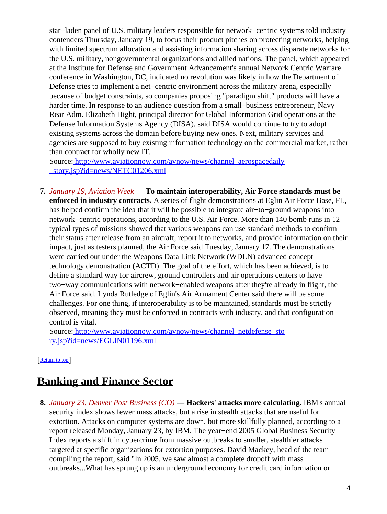star−laden panel of U.S. military leaders responsible for network−centric systems told industry contenders Thursday, January 19, to focus their product pitches on protecting networks, helping with limited spectrum allocation and assisting information sharing across disparate networks for the U.S. military, nongovernmental organizations and allied nations. The panel, which appeared at the Institute for Defense and Government Advancement's annual Network Centric Warfare conference in Washington, DC, indicated no revolution was likely in how the Department of Defense tries to implement a net−centric environment across the military arena, especially because of budget constraints, so companies proposing "paradigm shift" products will have a harder time. In response to an audience question from a small−business entrepreneur, Navy Rear Adm. Elizabeth Hight, principal director for Global Information Grid operations at the Defense Information Systems Agency (DISA), said DISA would continue to try to adopt existing systems across the domain before buying new ones. Next, military services and agencies are supposed to buy existing information technology on the commercial market, rather than contract for wholly new IT.

Source[: http://www.aviationnow.com/avnow/news/channel\\_aerospacedaily](http://www.aviationnow.com/avnow/news/channel_aerospacedaily_story.jsp?id=news/NETC01206.xml) [\\_story.jsp?id=news/NETC01206.xml](http://www.aviationnow.com/avnow/news/channel_aerospacedaily_story.jsp?id=news/NETC01206.xml)

**7.** *January 19, Aviation Week* — **To maintain interoperability, Air Force standards must be enforced in industry contracts.** A series of flight demonstrations at Eglin Air Force Base, FL, has helped confirm the idea that it will be possible to integrate air−to−ground weapons into network−centric operations, according to the U.S. Air Force. More than 140 bomb runs in 12 typical types of missions showed that various weapons can use standard methods to confirm their status after release from an aircraft, report it to networks, and provide information on their impact, just as testers planned, the Air Force said Tuesday, January 17. The demonstrations were carried out under the Weapons Data Link Network (WDLN) advanced concept technology demonstration (ACTD). The goal of the effort, which has been achieved, is to define a standard way for aircrew, ground controllers and air operations centers to have two−way communications with network−enabled weapons after they're already in flight, the Air Force said. Lynda Rutledge of Eglin's Air Armament Center said there will be some challenges. For one thing, if interoperability is to be maintained, standards must be strictly observed, meaning they must be enforced in contracts with industry, and that configuration control is vital.

Source[: http://www.aviationnow.com/avnow/news/channel\\_netdefense\\_sto](http://www.aviationnow.com/avnow/news/channel_netdefense_story.jsp?id=news/EGLIN01196.xml) [ry.jsp?id=news/EGLIN01196.xml](http://www.aviationnow.com/avnow/news/channel_netdefense_story.jsp?id=news/EGLIN01196.xml)

[[Return to top](#page-0-2)]

# <span id="page-3-1"></span>**Banking and Finance Sector**

<span id="page-3-0"></span>**8.** *January 23, Denver Post Business (CO)* — **Hackers' attacks more calculating.** IBM's annual security index shows fewer mass attacks, but a rise in stealth attacks that are useful for extortion. Attacks on computer systems are down, but more skillfully planned, according to a report released Monday, January 23, by IBM. The year−end 2005 Global Business Security Index reports a shift in cybercrime from massive outbreaks to smaller, stealthier attacks targeted at specific organizations for extortion purposes. David Mackey, head of the team compiling the report, said "In 2005, we saw almost a complete dropoff with mass outbreaks...What has sprung up is an underground economy for credit card information or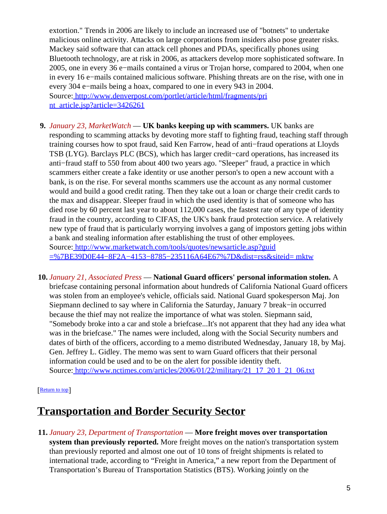extortion." Trends in 2006 are likely to include an increased use of "botnets" to undertake malicious online activity. Attacks on large corporations from insiders also pose greater risks. Mackey said software that can attack cell phones and PDAs, specifically phones using Bluetooth technology, are at risk in 2006, as attackers develop more sophisticated software. In 2005, one in every 36 e−mails contained a virus or Trojan horse, compared to 2004, when one in every 16 e−mails contained malicious software. Phishing threats are on the rise, with one in every 304 e−mails being a hoax, compared to one in every 943 in 2004. Source[: http://www.denverpost.com/portlet/article/html/fragments/pri](http://www.denverpost.com/portlet/article/html/fragments/print_article.jsp?article=3426261) [nt\\_article.jsp?article=3426261](http://www.denverpost.com/portlet/article/html/fragments/print_article.jsp?article=3426261)

- **9.** *January 23, MarketWatch* — **UK banks keeping up with scammers.** UK banks are responding to scamming attacks by devoting more staff to fighting fraud, teaching staff through training courses how to spot fraud, said Ken Farrow, head of anti−fraud operations at Lloyds TSB (LYG). Barclays PLC (BCS), which has larger credit−card operations, has increased its anti−fraud staff to 550 from about 400 two years ago. "Sleeper" fraud, a practice in which scammers either create a fake identity or use another person's to open a new account with a bank, is on the rise. For several months scammers use the account as any normal customer would and build a good credit rating. Then they take out a loan or charge their credit cards to the max and disappear. Sleeper fraud in which the used identity is that of someone who has died rose by 60 percent last year to about 112,000 cases, the fastest rate of any type of identity fraud in the country, according to CIFAS, the UK's bank fraud protection service. A relatively new type of fraud that is particularly worrying involves a gang of impostors getting jobs within a bank and stealing information after establishing the trust of other employees. Source[: http://www.marketwatch.com/tools/quotes/newsarticle.asp?guid](http://www.marketwatch.com/tools/quotes/newsarticle.asp?guid=%7BE39D0E44-8F2A-4153-8785-235116A64E67%7D&dist=rss&siteid=mktw) [=%7BE39D0E44−8F2A−4153−8785−235116A64E67%7D&dist=rss&siteid= mktw](http://www.marketwatch.com/tools/quotes/newsarticle.asp?guid=%7BE39D0E44-8F2A-4153-8785-235116A64E67%7D&dist=rss&siteid=mktw)
- **10.** *January 21, Associated Press* — **National Guard officers' personal information stolen.** A briefcase containing personal information about hundreds of California National Guard officers was stolen from an employee's vehicle, officials said. National Guard spokesperson Maj. Jon Siepmann declined to say where in California the Saturday, January 7 break−in occurred because the thief may not realize the importance of what was stolen. Siepmann said, "Somebody broke into a car and stole a briefcase...It's not apparent that they had any idea what was in the briefcase." The names were included, along with the Social Security numbers and dates of birth of the officers, according to a memo distributed Wednesday, January 18, by Maj. Gen. Jeffrey L. Gidley. The memo was sent to warn Guard officers that their personal information could be used and to be on the alert for possible identity theft. Source[: http://www.nctimes.com/articles/2006/01/22/military/21\\_17\\_20 1\\_21\\_06.txt](http://www.nctimes.com/articles/2006/01/22/military/21_17_201_21_06.txt)

#### [[Return to top](#page-0-2)]

### <span id="page-4-0"></span>**Transportation and Border Security Sector**

**11.** *January 23, Department of Transportation* — **More freight moves over transportation system than previously reported.** More freight moves on the nation's transportation system than previously reported and almost one out of 10 tons of freight shipments is related to international trade, according to "Freight in America," a new report from the Department of Transportation's Bureau of Transportation Statistics (BTS). Working jointly on the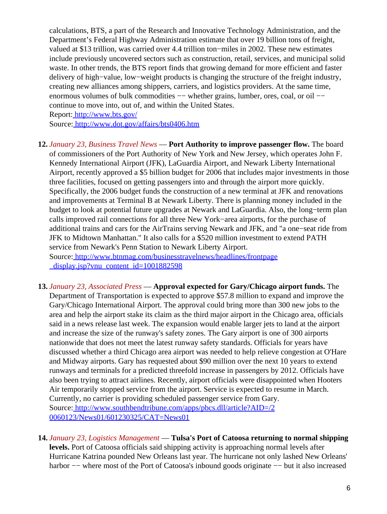calculations, BTS, a part of the Research and Innovative Technology Administration, and the Department's Federal Highway Administration estimate that over 19 billion tons of freight, valued at \$13 trillion, was carried over 4.4 trillion ton−miles in 2002. These new estimates include previously uncovered sectors such as construction, retail, services, and municipal solid waste. In other trends, the BTS report finds that growing demand for more efficient and faster delivery of high−value, low−weight products is changing the structure of the freight industry, creating new alliances among shippers, carriers, and logistics providers. At the same time, enormous volumes of bulk commodities −− whether grains, lumber, ores, coal, or oil −− continue to move into, out of, and within the United States.

Report:<http://www.bts.gov/>

Source[: http://www.dot.gov/affairs/bts0406.htm](http://www.dot.gov/affairs/bts0406.htm)

**12.** *January 23, Business Travel News* — **Port Authority to improve passenger flow.** The board of commissioners of the Port Authority of New York and New Jersey, which operates John F. Kennedy International Airport (JFK), LaGuardia Airport, and Newark Liberty International Airport, recently approved a \$5 billion budget for 2006 that includes major investments in those three facilities, focused on getting passengers into and through the airport more quickly. Specifically, the 2006 budget funds the construction of a new terminal at JFK and renovations and improvements at Terminal B at Newark Liberty. There is planning money included in the budget to look at potential future upgrades at Newark and LaGuardia. Also, the long−term plan calls improved rail connections for all three New York−area airports, for the purchase of additional trains and cars for the AirTrains serving Newark and JFK, and "a one−seat ride from JFK to Midtown Manhattan." It also calls for a \$520 million investment to extend PATH service from Newark's Penn Station to Newark Liberty Airport. Source[: http://www.btnmag.com/businesstravelnews/headlines/frontpage](http://www.btnmag.com/businesstravelnews/headlines/frontpage_display.jsp?vnu_content_id=1001882598)

[\\_display.jsp?vnu\\_content\\_id=1001882598](http://www.btnmag.com/businesstravelnews/headlines/frontpage_display.jsp?vnu_content_id=1001882598)

- **13.** *January 23, Associated Press* — **Approval expected for Gary/Chicago airport funds.** The Department of Transportation is expected to approve \$57.8 million to expand and improve the Gary/Chicago International Airport. The approval could bring more than 300 new jobs to the area and help the airport stake its claim as the third major airport in the Chicago area, officials said in a news release last week. The expansion would enable larger jets to land at the airport and increase the size of the runway's safety zones. The Gary airport is one of 300 airports nationwide that does not meet the latest runway safety standards. Officials for years have discussed whether a third Chicago area airport was needed to help relieve congestion at O'Hare and Midway airports. Gary has requested about \$90 million over the next 10 years to extend runways and terminals for a predicted threefold increase in passengers by 2012. Officials have also been trying to attract airlines. Recently, airport officials were disappointed when Hooters Air temporarily stopped service from the airport. Service is expected to resume in March. Currently, no carrier is providing scheduled passenger service from Gary. Source[: http://www.southbendtribune.com/apps/pbcs.dll/article?AID=/2](http://www.southbendtribune.com/apps/pbcs.dll/article?AID=/20060123/News01/601230325/CAT=News01) [0060123/News01/601230325/CAT=News01](http://www.southbendtribune.com/apps/pbcs.dll/article?AID=/20060123/News01/601230325/CAT=News01)
- **14.** *January 23, Logistics Management* — **Tulsa's Port of Catoosa returning to normal shipping levels.** Port of Catoosa officials said shipping activity is approaching normal levels after Hurricane Katrina pounded New Orleans last year. The hurricane not only lashed New Orleans' harbor −− where most of the Port of Catoosa's inbound goods originate −− but it also increased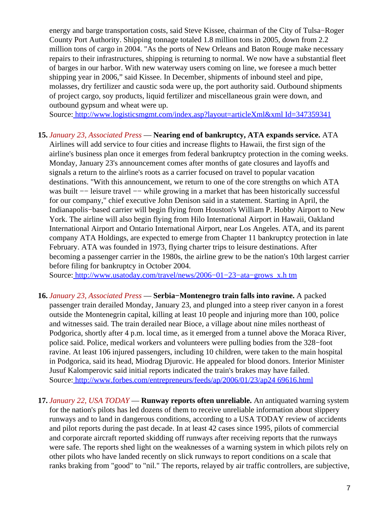energy and barge transportation costs, said Steve Kissee, chairman of the City of Tulsa−Roger County Port Authority. Shipping tonnage totaled 1.8 million tons in 2005, down from 2.2 million tons of cargo in 2004. "As the ports of New Orleans and Baton Rouge make necessary repairs to their infrastructures, shipping is returning to normal. We now have a substantial fleet of barges in our harbor. With new waterway users coming on line, we foresee a much better shipping year in 2006," said Kissee. In December, shipments of inbound steel and pipe, molasses, dry fertilizer and caustic soda were up, the port authority said. Outbound shipments of project cargo, soy products, liquid fertilizer and miscellaneous grain were down, and outbound gypsum and wheat were up.

Source[: http://www.logisticsmgmt.com/index.asp?layout=articleXml&xml Id=347359341](http://www.logisticsmgmt.com/index.asp?layout=articleXml&xmlId=347359341)

#### **15.** *January 23, Associated Press* — **Nearing end of bankruptcy, ATA expands service.** ATA

Airlines will add service to four cities and increase flights to Hawaii, the first sign of the airline's business plan once it emerges from federal bankruptcy protection in the coming weeks. Monday, January 23's announcement comes after months of gate closures and layoffs and signals a return to the airline's roots as a carrier focused on travel to popular vacation destinations. "With this announcement, we return to one of the core strengths on which ATA was built −− leisure travel −− while growing in a market that has been historically successful for our company," chief executive John Denison said in a statement. Starting in April, the Indianapolis−based carrier will begin flying from Houston's William P. Hobby Airport to New York. The airline will also begin flying from Hilo International Airport in Hawaii, Oakland International Airport and Ontario International Airport, near Los Angeles. ATA, and its parent company ATA Holdings, are expected to emerge from Chapter 11 bankruptcy protection in late February. ATA was founded in 1973, flying charter trips to leisure destinations. After becoming a passenger carrier in the 1980s, the airline grew to be the nation's 10th largest carrier before filing for bankruptcy in October 2004.

Source[: http://www.usatoday.com/travel/news/2006−01−23−ata−grows\\_x.h tm](http://www.usatoday.com/travel/news/2006-01-23-ata-grows_x.htm)

- **16.** *January 23, Associated Press* — **Serbia−Montenegro train falls into ravine.** A packed passenger train derailed Monday, January 23, and plunged into a steep river canyon in a forest outside the Montenegrin capital, killing at least 10 people and injuring more than 100, police and witnesses said. The train derailed near Bioce, a village about nine miles northeast of Podgorica, shortly after 4 p.m. local time, as it emerged from a tunnel above the Moraca River, police said. Police, medical workers and volunteers were pulling bodies from the 328−foot ravine. At least 106 injured passengers, including 10 children, were taken to the main hospital in Podgorica, said its head, Miodrag Djurovic. He appealed for blood donors. Interior Minister Jusuf Kalomperovic said initial reports indicated the train's brakes may have failed. Source[: http://www.forbes.com/entrepreneurs/feeds/ap/2006/01/23/ap24 69616.html](http://www.forbes.com/entrepreneurs/feeds/ap/2006/01/23/ap2469616.html)
- <span id="page-6-0"></span>**17.** *January 22, USA TODAY* — **Runway reports often unreliable.** An antiquated warning system for the nation's pilots has led dozens of them to receive unreliable information about slippery runways and to land in dangerous conditions, according to a USA TODAY review of accidents and pilot reports during the past decade. In at least 42 cases since 1995, pilots of commercial and corporate aircraft reported skidding off runways after receiving reports that the runways were safe. The reports shed light on the weaknesses of a warning system in which pilots rely on other pilots who have landed recently on slick runways to report conditions on a scale that ranks braking from "good" to "nil." The reports, relayed by air traffic controllers, are subjective,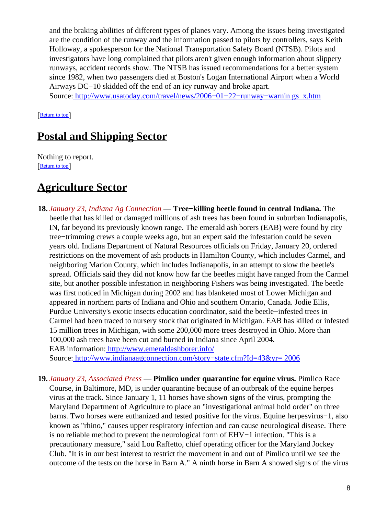and the braking abilities of different types of planes vary. Among the issues being investigated are the condition of the runway and the information passed to pilots by controllers, says Keith Holloway, a spokesperson for the National Transportation Safety Board (NTSB). Pilots and investigators have long complained that pilots aren't given enough information about slippery runways, accident records show. The NTSB has issued recommendations for a better system since 1982, when two passengers died at Boston's Logan International Airport when a World Airways DC−10 skidded off the end of an icy runway and broke apart.

Source[: http://www.usatoday.com/travel/news/2006−01−22−runway−warnin gs\\_x.htm](http://www.usatoday.com/travel/news/2006-01-22-runway-warnings_x.htm)

[[Return to top](#page-0-2)]

# <span id="page-7-0"></span>**Postal and Shipping Sector**

Nothing to report. [[Return to top](#page-0-2)]

# <span id="page-7-1"></span>**Agriculture Sector**

**18.** *January 23, Indiana Ag Connection* — **Tree−killing beetle found in central Indiana.** The beetle that has killed or damaged millions of ash trees has been found in suburban Indianapolis, IN, far beyond its previously known range. The emerald ash borers (EAB) were found by city tree−trimming crews a couple weeks ago, but an expert said the infestation could be seven years old. Indiana Department of Natural Resources officials on Friday, January 20, ordered restrictions on the movement of ash products in Hamilton County, which includes Carmel, and neighboring Marion County, which includes Indianapolis, in an attempt to slow the beetle's spread. Officials said they did not know how far the beetles might have ranged from the Carmel site, but another possible infestation in neighboring Fishers was being investigated. The beetle was first noticed in Michigan during 2002 and has blanketed most of Lower Michigan and appeared in northern parts of Indiana and Ohio and southern Ontario, Canada. Jodie Ellis, Purdue University's exotic insects education coordinator, said the beetle−infested trees in Carmel had been traced to nursery stock that originated in Michigan. EAB has killed or infested 15 million trees in Michigan, with some 200,000 more trees destroyed in Ohio. More than 100,000 ash trees have been cut and burned in Indiana since April 2004. EAB information:<http://www.emeraldashborer.info/>

Source[: http://www.indianaagconnection.com/story−state.cfm?Id=43&yr= 2006](http://www.indianaagconnection.com/story-state.cfm?Id=43&yr=2006)

**19.** *January 23, Associated Press* — **Pimlico under quarantine for equine virus.** Pimlico Race Course, in Baltimore, MD, is under quarantine because of an outbreak of the equine herpes virus at the track. Since January 1, 11 horses have shown signs of the virus, prompting the Maryland Department of Agriculture to place an "investigational animal hold order" on three barns. Two horses were euthanized and tested positive for the virus. Equine herpesvirus−1, also known as "rhino," causes upper respiratory infection and can cause neurological disease. There is no reliable method to prevent the neurological form of EHV−1 infection. "This is a precautionary measure," said Lou Raffetto, chief operating officer for the Maryland Jockey Club. "It is in our best interest to restrict the movement in and out of Pimlico until we see the outcome of the tests on the horse in Barn A." A ninth horse in Barn A showed signs of the virus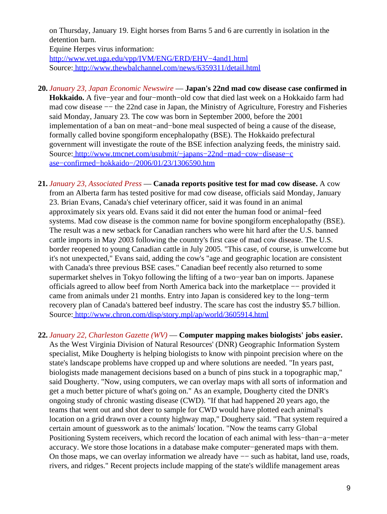on Thursday, January 19. Eight horses from Barns 5 and 6 are currently in isolation in the detention barn.

Equine Herpes virus information:

[http://www.vet.uga.edu/vpp/IVM/ENG/ERD/EHV−4and1.html](http://www.vet.uga.edu/vpp/IVM/ENG/ERD/EHV-4and1.html) Source[: http://www.thewbalchannel.com/news/6359311/detail.html](http://www.thewbalchannel.com/news/6359311/detail.html)

- **20.** *January 23, Japan Economic Newswire* — **Japan's 22nd mad cow disease case confirmed in Hokkaido.** A five−year and four−month−old cow that died last week on a Hokkaido farm had mad cow disease –– the 22nd case in Japan, the Ministry of Agriculture, Forestry and Fisheries said Monday, January 23. The cow was born in September 2000, before the 2001 implementation of a ban on meat−and−bone meal suspected of being a cause of the disease, formally called bovine spongiform encephalopathy (BSE). The Hokkaido prefectural government will investigate the route of the BSE infection analyzing feeds, the ministry said. Source[: http://www.tmcnet.com/usubmit/−japans−22nd−mad−cow−disease−c](http://www.tmcnet.com/usubmit/-japans-22nd-mad-cow-disease-case-confirmed-hokkaido-/2006/01/23/1306590.htm) [ase−confirmed−hokkaido−/2006/01/23/1306590.htm](http://www.tmcnet.com/usubmit/-japans-22nd-mad-cow-disease-case-confirmed-hokkaido-/2006/01/23/1306590.htm)
- **21.** *January 23, Associated Press* — **Canada reports positive test for mad cow disease.** A cow from an Alberta farm has tested positive for mad cow disease, officials said Monday, January 23. Brian Evans, Canada's chief veterinary officer, said it was found in an animal approximately six years old. Evans said it did not enter the human food or animal−feed systems. Mad cow disease is the common name for bovine spongiform encephalopathy (BSE). The result was a new setback for Canadian ranchers who were hit hard after the U.S. banned cattle imports in May 2003 following the country's first case of mad cow disease. The U.S. border reopened to young Canadian cattle in July 2005. "This case, of course, is unwelcome but it's not unexpected," Evans said, adding the cow's "age and geographic location are consistent with Canada's three previous BSE cases." Canadian beef recently also returned to some supermarket shelves in Tokyo following the lifting of a two−year ban on imports. Japanese officials agreed to allow beef from North America back into the marketplace −− provided it came from animals under 21 months. Entry into Japan is considered key to the long−term recovery plan of Canada's battered beef industry. The scare has cost the industry \$5.7 billion. Source[: http://www.chron.com/disp/story.mpl/ap/world/3605914.html](http://www.chron.com/disp/story.mpl/ap/world/3605914.html)
- **22.** *January 22, Charleston Gazette (WV)* — **Computer mapping makes biologists' jobs easier.** As the West Virginia Division of Natural Resources' (DNR) Geographic Information System specialist, Mike Dougherty is helping biologists to know with pinpoint precision where on the state's landscape problems have cropped up and where solutions are needed. "In years past, biologists made management decisions based on a bunch of pins stuck in a topographic map," said Dougherty. "Now, using computers, we can overlay maps with all sorts of information and get a much better picture of what's going on." As an example, Dougherty cited the DNR's ongoing study of chronic wasting disease (CWD). "If that had happened 20 years ago, the teams that went out and shot deer to sample for CWD would have plotted each animal's location on a grid drawn over a county highway map," Dougherty said. "That system required a certain amount of guesswork as to the animals' location. "Now the teams carry Global Positioning System receivers, which record the location of each animal with less−than−a−meter accuracy. We store those locations in a database make computer−generated maps with them. On those maps, we can overlay information we already have — such as habitat, land use, roads, rivers, and ridges." Recent projects include mapping of the state's wildlife management areas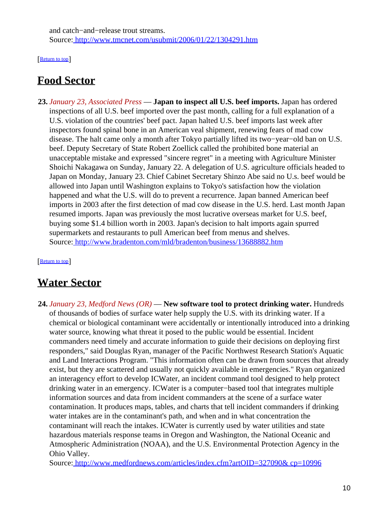and catch−and−release trout streams. Source[: http://www.tmcnet.com/usubmit/2006/01/22/1304291.htm](http://www.tmcnet.com/usubmit/2006/01/22/1304291.htm)

[[Return to top](#page-0-2)]

# <span id="page-9-0"></span>**Food Sector**

**23.** *January 23, Associated Press* — **Japan to inspect all U.S. beef imports.** Japan has ordered inspections of all U.S. beef imported over the past month, calling for a full explanation of a U.S. violation of the countries' beef pact. Japan halted U.S. beef imports last week after inspectors found spinal bone in an American veal shipment, renewing fears of mad cow disease. The halt came only a month after Tokyo partially lifted its two−year−old ban on U.S. beef. Deputy Secretary of State Robert Zoellick called the prohibited bone material an unacceptable mistake and expressed "sincere regret" in a meeting with Agriculture Minister Shoichi Nakagawa on Sunday, January 22. A delegation of U.S. agriculture officials headed to Japan on Monday, January 23. Chief Cabinet Secretary Shinzo Abe said no U.s. beef would be allowed into Japan until Washington explains to Tokyo's satisfaction how the violation happened and what the U.S. will do to prevent a recurrence. Japan banned American beef imports in 2003 after the first detection of mad cow disease in the U.S. herd. Last month Japan resumed imports. Japan was previously the most lucrative overseas market for U.S. beef, buying some \$1.4 billion worth in 2003. Japan's decision to halt imports again spurred supermarkets and restaurants to pull American beef from menus and shelves. Source[: http://www.bradenton.com/mld/bradenton/business/13688882.htm](http://www.bradenton.com/mld/bradenton/business/13688882.htm)

[[Return to top](#page-0-2)]

## <span id="page-9-1"></span>**Water Sector**

**24.** *January 23, Medford News (OR)* — **New software tool to protect drinking water.** Hundreds of thousands of bodies of surface water help supply the U.S. with its drinking water. If a chemical or biological contaminant were accidentally or intentionally introduced into a drinking water source, knowing what threat it posed to the public would be essential. Incident commanders need timely and accurate information to guide their decisions on deploying first responders," said Douglas Ryan, manager of the Pacific Northwest Research Station's Aquatic and Land Interactions Program. "This information often can be drawn from sources that already exist, but they are scattered and usually not quickly available in emergencies." Ryan organized an interagency effort to develop ICWater, an incident command tool designed to help protect drinking water in an emergency. ICWater is a computer−based tool that integrates multiple information sources and data from incident commanders at the scene of a surface water contamination. It produces maps, tables, and charts that tell incident commanders if drinking water intakes are in the contaminant's path, and when and in what concentration the contaminant will reach the intakes. ICWater is currently used by water utilities and state hazardous materials response teams in Oregon and Washington, the National Oceanic and Atmospheric Administration (NOAA), and the U.S. Environmental Protection Agency in the Ohio Valley.

Source[: http://www.medfordnews.com/articles/index.cfm?artOID=327090& cp=10996](http://www.medfordnews.com/articles/index.cfm?artOID=327090&cp=10996)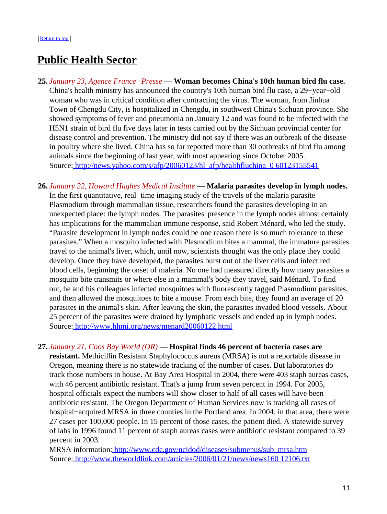### <span id="page-10-0"></span>**Public Health Sector**

- **25.** *January 23, Agence France−Presse* — **Woman becomes China's 10th human bird flu case.** China's health ministry has announced the country's 10th human bird flu case, a 29−year−old woman who was in critical condition after contracting the virus. The woman, from Jinhua Town of Chengdu City, is hospitalized in Chengdu, in southwest China's Sichuan province. She showed symptoms of fever and pneumonia on January 12 and was found to be infected with the H5N1 strain of bird flu five days later in tests carried out by the Sichuan provincial center for disease control and prevention. The ministry did not say if there was an outbreak of the disease in poultry where she lived. China has so far reported more than 30 outbreaks of bird flu among animals since the beginning of last year, with most appearing since October 2005. Source[: http://news.yahoo.com/s/afp/20060123/hl\\_afp/healthfluchina\\_0 60123155541](http://news.yahoo.com/s/afp/20060123/hl_afp/healthfluchina_060123155541)
- **26.** *January 22, Howard Hughes Medical Institute* — **Malaria parasites develop in lymph nodes.** In the first quantitative, real−time imaging study of the travels of the malaria parasite Plasmodium through mammalian tissue, researchers found the parasites developing in an unexpected place: the lymph nodes. The parasites' presence in the lymph nodes almost certainly has implications for the mammalian immune response, said Robert Ménard, who led the study. "Parasite development in lymph nodes could be one reason there is so much tolerance to these parasites." When a mosquito infected with Plasmodium bites a mammal, the immature parasites travel to the animal's liver, which, until now, scientists thought was the only place they could develop. Once they have developed, the parasites burst out of the liver cells and infect red blood cells, beginning the onset of malaria. No one had measured directly how many parasites a mosquito bite transmits or where else in a mammal's body they travel, said Ménard. To find out, he and his colleagues infected mosquitoes with fluorescently tagged Plasmodium parasites, and then allowed the mosquitoes to bite a mouse. From each bite, they found an average of 20 parasites in the animal's skin. After leaving the skin, the parasites invaded blood vessels. About 25 percent of the parasites were drained by lymphatic vessels and ended up in lymph nodes. Source[: http://www.hhmi.org/news/menard20060122.html](http://www.hhmi.org/news/menard20060122.html)

#### **27.** *January 21, Coos Bay World (OR)* — **Hospital finds 46 percent of bacteria cases are**

**resistant.** Methicillin Resistant Staphylococcus aureus (MRSA) is not a reportable disease in Oregon, meaning there is no statewide tracking of the number of cases. But laboratories do track those numbers in house. At Bay Area Hospital in 2004, there were 403 staph aureas cases, with 46 percent antibiotic resistant. That's a jump from seven percent in 1994. For 2005, hospital officials expect the numbers will show closer to half of all cases will have been antibiotic resistant. The Oregon Department of Human Services now is tracking all cases of hospital−acquired MRSA in three counties in the Portland area. In 2004, in that area, there were 27 cases per 100,000 people. In 15 percent of those cases, the patient died. A statewide survey of labs in 1996 found 11 percent of staph aureas cases were antibiotic resistant compared to 39 percent in 2003.

MRSA information: [http://www.cdc.gov/ncidod/diseases/submenus/sub\\_mrsa.htm](http://www.cdc.gov/ncidod/diseases/submenus/sub_mrsa.htm) Source[: http://www.theworldlink.com/articles/2006/01/21/news/news160 12106.txt](http://www.theworldlink.com/articles/2006/01/21/news/news16012106.txt)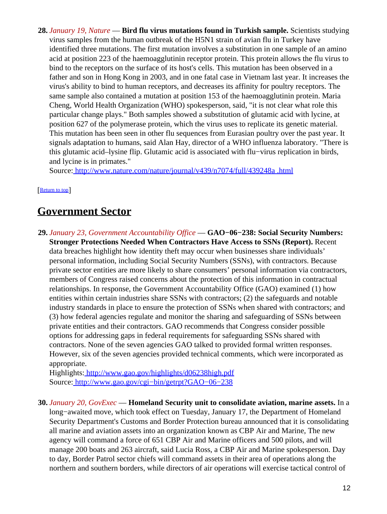**28.** *January 19, Nature* — **Bird flu virus mutations found in Turkish sample.** Scientists studying virus samples from the human outbreak of the H5N1 strain of avian flu in Turkey have identified three mutations. The first mutation involves a substitution in one sample of an amino acid at position 223 of the haemoagglutinin receptor protein. This protein allows the flu virus to bind to the receptors on the surface of its host's cells. This mutation has been observed in a father and son in Hong Kong in 2003, and in one fatal case in Vietnam last year. It increases the virus's ability to bind to human receptors, and decreases its affinity for poultry receptors. The same sample also contained a mutation at position 153 of the haemoagglutinin protein. Maria Cheng, World Health Organization (WHO) spokesperson, said, "it is not clear what role this particular change plays." Both samples showed a substitution of glutamic acid with lycine, at position 627 of the polymerase protein, which the virus uses to replicate its genetic material. This mutation has been seen in other flu sequences from Eurasian poultry over the past year. It signals adaptation to humans, said Alan Hay, director of a WHO influenza laboratory. "There is this glutamic acid–lysine flip. Glutamic acid is associated with flu−virus replication in birds, and lycine is in primates."

Source[: http://www.nature.com/nature/journal/v439/n7074/full/439248a .html](http://www.nature.com/nature/journal/v439/n7074/full/439248a.html)

#### [[Return to top](#page-0-2)]

### <span id="page-11-0"></span>**Government Sector**

**29.** *January 23, Government Accountability Office* — **GAO−06−238: Social Security Numbers: Stronger Protections Needed When Contractors Have Access to SSNs (Report).** Recent data breaches highlight how identity theft may occur when businesses share individuals' personal information, including Social Security Numbers (SSNs), with contractors. Because private sector entities are more likely to share consumers' personal information via contractors, members of Congress raised concerns about the protection of this information in contractual relationships. In response, the Government Accountability Office (GAO) examined (1) how entities within certain industries share SSNs with contractors; (2) the safeguards and notable industry standards in place to ensure the protection of SSNs when shared with contractors; and (3) how federal agencies regulate and monitor the sharing and safeguarding of SSNs between private entities and their contractors. GAO recommends that Congress consider possible options for addressing gaps in federal requirements for safeguarding SSNs shared with contractors. None of the seven agencies GAO talked to provided formal written responses. However, six of the seven agencies provided technical comments, which were incorporated as appropriate.

Highlights:<http://www.gao.gov/highlights/d06238high.pdf> Source[: http://www.gao.gov/cgi−bin/getrpt?GAO−06−238](http://www.gao.gov/cgi-bin/getrpt?GAO-06-238)

**30.** *January 20, GovExec* — **Homeland Security unit to consolidate aviation, marine assets.** In a long−awaited move, which took effect on Tuesday, January 17, the Department of Homeland Security Department's Customs and Border Protection bureau announced that it is consolidating all marine and aviation assets into an organization known as CBP Air and Marine, The new agency will command a force of 651 CBP Air and Marine officers and 500 pilots, and will manage 200 boats and 263 aircraft, said Lucia Ross, a CBP Air and Marine spokesperson. Day to day, Border Patrol sector chiefs will command assets in their area of operations along the northern and southern borders, while directors of air operations will exercise tactical control of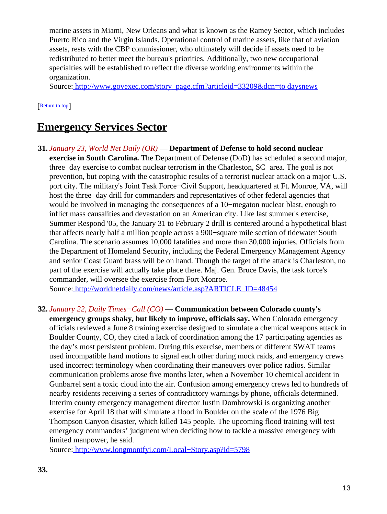marine assets in Miami, New Orleans and what is known as the Ramey Sector, which includes Puerto Rico and the Virgin Islands. Operational control of marine assets, like that of aviation assets, rests with the CBP commissioner, who ultimately will decide if assets need to be redistributed to better meet the bureau's priorities. Additionally, two new occupational specialties will be established to reflect the diverse working environments within the organization.

Source[: http://www.govexec.com/story\\_page.cfm?articleid=33209&dcn=to daysnews](http://www.govexec.com/story_page.cfm?articleid=33209&dcn=todaysnews)

#### [[Return to top](#page-0-2)]

### <span id="page-12-0"></span>**Emergency Services Sector**

**31.** *January 23, World Net Daily (OR)* — **Department of Defense to hold second nuclear exercise in South Carolina.** The Department of Defense (DoD) has scheduled a second major, three−day exercise to combat nuclear terrorism in the Charleston, SC−area. The goal is not prevention, but coping with the catastrophic results of a terrorist nuclear attack on a major U.S. port city. The military's Joint Task Force−Civil Support, headquartered at Ft. Monroe, VA, will host the three−day drill for commanders and representatives of other federal agencies that would be involved in managing the consequences of a 10−megaton nuclear blast, enough to inflict mass causalities and devastation on an American city. Like last summer's exercise, Summer Respond '05, the January 31 to February 2 drill is centered around a hypothetical blast that affects nearly half a million people across a 900−square mile section of tidewater South Carolina. The scenario assumes 10,000 fatalities and more than 30,000 injuries. Officials from the Department of Homeland Security, including the Federal Emergency Management Agency and senior Coast Guard brass will be on hand. Though the target of the attack is Charleston, no part of the exercise will actually take place there. Maj. Gen. Bruce Davis, the task force's commander, will oversee the exercise from Fort Monroe.

Source[: http://worldnetdaily.com/news/article.asp?ARTICLE\\_ID=48454](http://worldnetdaily.com/news/article.asp?ARTICLE_ID=48454)

**32.** *January 22, Daily Times−Call (CO)* — **Communication between Colorado county's emergency groups shaky, but likely to improve, officials say.** When Colorado emergency officials reviewed a June 8 training exercise designed to simulate a chemical weapons attack in Boulder County, CO, they cited a lack of coordination among the 17 participating agencies as the day's most persistent problem. During this exercise, members of different SWAT teams used incompatible hand motions to signal each other during mock raids, and emergency crews used incorrect terminology when coordinating their maneuvers over police radios. Similar communication problems arose five months later, when a November 10 chemical accident in Gunbarrel sent a toxic cloud into the air. Confusion among emergency crews led to hundreds of nearby residents receiving a series of contradictory warnings by phone, officials determined. Interim county emergency management director Justin Dombrowski is organizing another exercise for April 18 that will simulate a flood in Boulder on the scale of the 1976 Big Thompson Canyon disaster, which killed 145 people. The upcoming flood training will test emergency commanders' judgment when deciding how to tackle a massive emergency with limited manpower, he said.

Source[: http://www.longmontfyi.com/Local−Story.asp?id=5798](http://www.longmontfyi.com/Local-Story.asp?id=5798)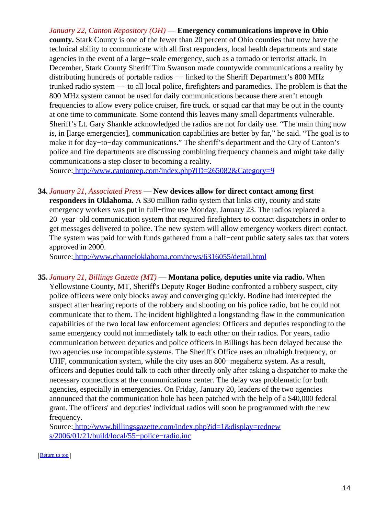*January 22, Canton Repository (OH)* — **Emergency communications improve in Ohio county.** Stark County is one of the fewer than 20 percent of Ohio counties that now have the technical ability to communicate with all first responders, local health departments and state agencies in the event of a large−scale emergency, such as a tornado or terrorist attack. In December, Stark County Sheriff Tim Swanson made countywide communications a reality by distributing hundreds of portable radios −− linked to the Sheriff Department's 800 MHz trunked radio system −− to all local police, firefighters and paramedics. The problem is that the 800 MHz system cannot be used for daily communications because there aren't enough frequencies to allow every police cruiser, fire truck. or squad car that may be out in the county at one time to communicate. Some contend this leaves many small departments vulnerable. Sheriff's Lt. Gary Shankle acknowledged the radios are not for daily use. "The main thing now is, in [large emergencies], communication capabilities are better by far," he said. "The goal is to make it for day−to−day communications." The sheriff's department and the City of Canton's police and fire departments are discussing combining frequency channels and might take daily communications a step closer to becoming a reality.

Source[: http://www.cantonrep.com/index.php?ID=265082&Category=9](http://www.cantonrep.com/index.php?ID=265082&Category=9)

**34.** *January 21, Associated Press* — **New devices allow for direct contact among first**

**responders in Oklahoma.** A \$30 million radio system that links city, county and state emergency workers was put in full−time use Monday, January 23. The radios replaced a 20−year−old communication system that required firefighters to contact dispatchers in order to get messages delivered to police. The new system will allow emergency workers direct contact. The system was paid for with funds gathered from a half−cent public safety sales tax that voters approved in 2000.

Source[: http://www.channeloklahoma.com/news/6316055/detail.html](http://www.channeloklahoma.com/news/6316055/detail.html)

**35.** *January 21, Billings Gazette (MT)* — **Montana police, deputies unite via radio.** When Yellowstone County, MT, Sheriff's Deputy Roger Bodine confronted a robbery suspect, city police officers were only blocks away and converging quickly. Bodine had intercepted the suspect after hearing reports of the robbery and shooting on his police radio, but he could not communicate that to them. The incident highlighted a longstanding flaw in the communication capabilities of the two local law enforcement agencies: Officers and deputies responding to the same emergency could not immediately talk to each other on their radios. For years, radio communication between deputies and police officers in Billings has been delayed because the two agencies use incompatible systems. The Sheriff's Office uses an ultrahigh frequency, or UHF, communication system, while the city uses an 800−megahertz system. As a result, officers and deputies could talk to each other directly only after asking a dispatcher to make the necessary connections at the communications center. The delay was problematic for both agencies, especially in emergencies. On Friday, January 20, leaders of the two agencies announced that the communication hole has been patched with the help of a \$40,000 federal grant. The officers' and deputies' individual radios will soon be programmed with the new frequency.

Source[: http://www.billingsgazette.com/index.php?id=1&display=rednew](http://www.billingsgazette.com/index.php?id=1&display=rednews/2006/01/21/build/local/55-police-radio.inc) s/2006/01/21/build/local/55-police-radio.inc

[[Return to top](#page-0-2)]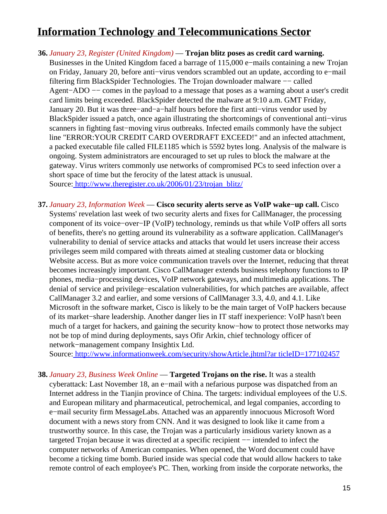# <span id="page-14-0"></span>**Information Technology and Telecommunications Sector**

- **36.** *January 23, Register (United Kingdom)* — **Trojan blitz poses as credit card warning.** Businesses in the United Kingdom faced a barrage of 115,000 e−mails containing a new Trojan on Friday, January 20, before anti−virus vendors scrambled out an update, according to e−mail filtering firm BlackSpider Technologies. The Trojan downloader malware −− called Agent−ADO −− comes in the payload to a message that poses as a warning about a user's credit card limits being exceeded. BlackSpider detected the malware at 9:10 a.m. GMT Friday, January 20. But it was three−and−a−half hours before the first anti−virus vendor used by BlackSpider issued a patch, once again illustrating the shortcomings of conventional anti−virus scanners in fighting fast–moving virus outbreaks. Infected emails commonly have the subject line "ERROR:YOUR CREDIT CARD OVERDRAFT EXCEED!" and an infected attachment, a packed executable file called FILE1185 which is 5592 bytes long. Analysis of the malware is ongoing. System administrators are encouraged to set up rules to block the malware at the gateway. Virus writers commonly use networks of compromised PCs to seed infection over a short space of time but the ferocity of the latest attack is unusual. Source[: http://www.theregister.co.uk/2006/01/23/trojan\\_blitz/](http://www.theregister.co.uk/2006/01/23/trojan_blitz/)
- **37.** *January 23, Information Week* — **Cisco security alerts serve as VoIP wake−up call.** Cisco Systems' revelation last week of two security alerts and fixes for CallManager, the processing component of its voice−over−IP (VoIP) technology, reminds us that while VoIP offers all sorts of benefits, there's no getting around its vulnerability as a software application. CallManager's vulnerability to denial of service attacks and attacks that would let users increase their access privileges seem mild compared with threats aimed at stealing customer data or blocking Website access. But as more voice communication travels over the Internet, reducing that threat becomes increasingly important. Cisco CallManager extends business telephony functions to IP phones, media−processing devices, VoIP network gateways, and multimedia applications. The denial of service and privilege−escalation vulnerabilities, for which patches are available, affect CallManager 3.2 and earlier, and some versions of CallManager 3.3, 4.0, and 4.1. Like Microsoft in the software market, Cisco is likely to be the main target of VoIP hackers because of its market−share leadership. Another danger lies in IT staff inexperience: VoIP hasn't been much of a target for hackers, and gaining the security know−how to protect those networks may not be top of mind during deployments, says Ofir Arkin, chief technology officer of network−management company Insightix Ltd.

Source[: http://www.informationweek.com/security/showArticle.jhtml?ar ticleID=177102457](http://www.informationweek.com/security/showArticle.jhtml?articleID=177102457)

**38.** *January 23, Business Week Online* — **Targeted Trojans on the rise.** It was a stealth cyberattack: Last November 18, an e−mail with a nefarious purpose was dispatched from an Internet address in the Tianjin province of China. The targets: individual employees of the U.S. and European military and pharmaceutical, petrochemical, and legal companies, according to e−mail security firm MessageLabs. Attached was an apparently innocuous Microsoft Word document with a news story from CNN. And it was designed to look like it came from a trustworthy source. In this case, the Trojan was a particularly insidious variety known as a targeted Trojan because it was directed at a specific recipient −− intended to infect the computer networks of American companies. When opened, the Word document could have become a ticking time bomb. Buried inside was special code that would allow hackers to take remote control of each employee's PC. Then, working from inside the corporate networks, the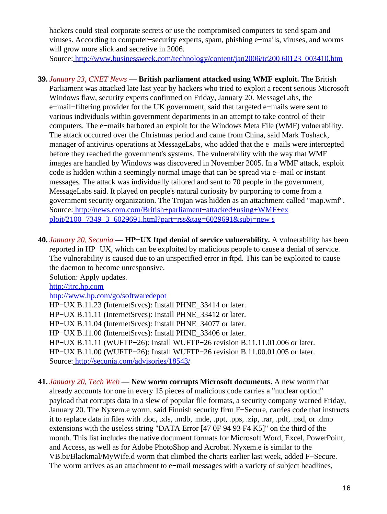hackers could steal corporate secrets or use the compromised computers to send spam and viruses. According to computer−security experts, spam, phishing e−mails, viruses, and worms will grow more slick and secretive in 2006.

Source[: http://www.businessweek.com/technology/content/jan2006/tc200 60123\\_003410.htm](http://www.businessweek.com/technology/content/jan2006/tc20060123_003410.htm)

- **39.** *January 23, CNET News* — **British parliament attacked using WMF exploit.** The British Parliament was attacked late last year by hackers who tried to exploit a recent serious Microsoft Windows flaw, security experts confirmed on Friday, January 20. MessageLabs, the e−mail−filtering provider for the UK government, said that targeted e−mails were sent to various individuals within government departments in an attempt to take control of their computers. The e−mails harbored an exploit for the Windows Meta File (WMF) vulnerability. The attack occurred over the Christmas period and came from China, said Mark Toshack, manager of antivirus operations at MessageLabs, who added that the e−mails were intercepted before they reached the government's systems. The vulnerability with the way that WMF images are handled by Windows was discovered in November 2005. In a WMF attack, exploit code is hidden within a seemingly normal image that can be spread via e−mail or instant messages. The attack was individually tailored and sent to 70 people in the government, MessageLabs said. It played on people's natural curiosity by purporting to come from a government security organization. The Trojan was hidden as an attachment called "map.wmf". Source[: http://news.com.com/British+parliament+attacked+using+WMF+ex](http://news.com.com/British+parliament+attacked+using+WMF+exploit/2100-7349_3-6029691.html?part=rss&tag=6029691&subj=news) [ploit/2100−7349\\_3−6029691.html?part=rss&tag=6029691&subj=new s](http://news.com.com/British+parliament+attacked+using+WMF+exploit/2100-7349_3-6029691.html?part=rss&tag=6029691&subj=news)
- **40.** *January 20, Secunia* — **HP−UX ftpd denial of service vulnerability.** A vulnerability has been reported in HP−UX, which can be exploited by malicious people to cause a denial of service. The vulnerability is caused due to an unspecified error in ftpd. This can be exploited to cause the daemon to become unresponsive.

Solution: Apply updates. http://itrc.hp.com http://www.hp.com/go/softwaredepot HP–UX B.11.23 (InternetSrvcs): Install PHNE 33414 or later. HP–UX B.11.11 (InternetSrvcs): Install PHNE 33412 or later. HP−UX B.11.04 (InternetSrvcs): Install PHNE\_34077 or later. HP–UX B.11.00 (InternetSrvcs): Install PHNE\_33406 or later. HP−UX B.11.11 (WUFTP−26): Install WUFTP−26 revision B.11.11.01.006 or later. HP−UX B.11.00 (WUFTP−26): Install WUFTP−26 revision B.11.00.01.005 or later. Source[: http://secunia.com/advisories/18543/](http://secunia.com/advisories/18543/)

**41.** *January 20, Tech Web* — **New worm corrupts Microsoft documents.** A new worm that already accounts for one in every 15 pieces of malicious code carries a "nuclear option" payload that corrupts data in a slew of popular file formats, a security company warned Friday, January 20. The Nyxem.e worm, said Finnish security firm F−Secure, carries code that instructs it to replace data in files with .doc, .xls, .mdb, .mde, .ppt, .pps, .zip, .rar, .pdf, .psd, or .dmp extensions with the useless string "DATA Error [47 0F 94 93 F4 K5]" on the third of the month. This list includes the native document formats for Microsoft Word, Excel, PowerPoint, and Access, as well as for Adobe PhotoShop and Acrobat. Nyxem.e is similar to the VB.bi/Blackmal/MyWife.d worm that climbed the charts earlier last week, added F−Secure. The worm arrives as an attachment to e−mail messages with a variety of subject headlines,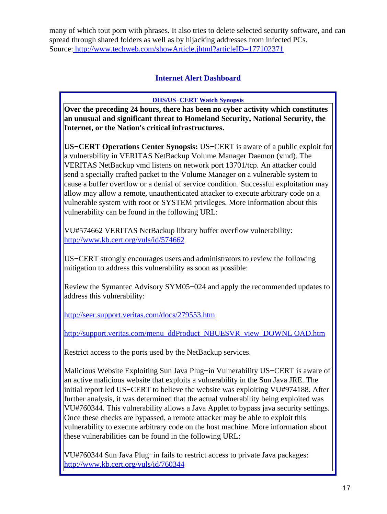<span id="page-16-0"></span>many of which tout porn with phrases. It also tries to delete selected security software, and can spread through shared folders as well as by hijacking addresses from infected PCs. Source[: http://www.techweb.com/showArticle.jhtml?articleID=177102371](http://www.techweb.com/showArticle.jhtml?articleID=177102371)

### **Internet Alert Dashboard**

**DHS/US−CERT Watch Synopsis**

**Over the preceding 24 hours, there has been no cyber activity which constitutes an unusual and significant threat to Homeland Security, National Security, the Internet, or the Nation's critical infrastructures.**

**US−CERT Operations Center Synopsis:** US−CERT is aware of a public exploit for a vulnerability in VERITAS NetBackup Volume Manager Daemon (vmd). The VERITAS NetBackup vmd listens on network port 13701/tcp. An attacker could send a specially crafted packet to the Volume Manager on a vulnerable system to cause a buffer overflow or a denial of service condition. Successful exploitation may allow may allow a remote, unauthenticated attacker to execute arbitrary code on a vulnerable system with root or SYSTEM privileges. More information about this vulnerability can be found in the following URL:

VU#574662 VERITAS NetBackup library buffer overflow vulnerability: <http://www.kb.cert.org/vuls/id/574662>

US−CERT strongly encourages users and administrators to review the following mitigation to address this vulnerability as soon as possible:

Review the Symantec Advisory SYM05−024 and apply the recommended updates to address this vulnerability:

<http://seer.support.veritas.com/docs/279553.htm>

[http://support.veritas.com/menu\\_ddProduct\\_NBUESVR\\_view\\_DOWNL OAD.htm](http://support.veritas.com/menu_ddProduct_NBUESVR_view_DOWNLOAD.htm)

Restrict access to the ports used by the NetBackup services.

Malicious Website Exploiting Sun Java Plug−in Vulnerability US−CERT is aware of an active malicious website that exploits a vulnerability in the Sun Java JRE. The initial report led US−CERT to believe the website was exploiting VU#974188. After further analysis, it was determined that the actual vulnerability being exploited was VU#760344. This vulnerability allows a Java Applet to bypass java security settings. Once these checks are bypassed, a remote attacker may be able to exploit this vulnerability to execute arbitrary code on the host machine. More information about these vulnerabilities can be found in the following URL:

VU#760344 Sun Java Plug−in fails to restrict access to private Java packages: <http://www.kb.cert.org/vuls/id/760344>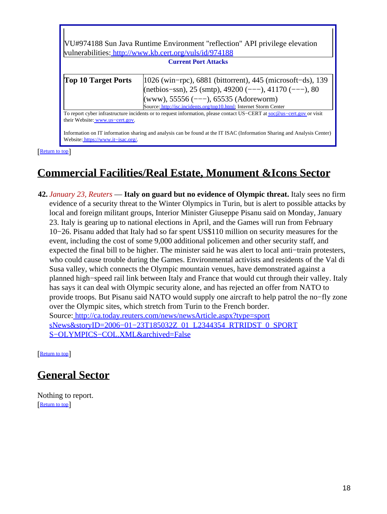| VU#974188 Sun Java Runtime Environment "reflection" API privilege elevation<br>vulnerabilities: http://www.kb.cert.org/vuls/id/974188<br><b>Current Port Attacks</b>                                                                                                                                                        |                                                                                                                                                                                                                                                 |  |
|-----------------------------------------------------------------------------------------------------------------------------------------------------------------------------------------------------------------------------------------------------------------------------------------------------------------------------|-------------------------------------------------------------------------------------------------------------------------------------------------------------------------------------------------------------------------------------------------|--|
| <b>Top 10 Target Ports</b>                                                                                                                                                                                                                                                                                                  | $ 1026 \text{ (win-pro)}$ , 6881 (bittorrent), 445 (microsoft-ds), 139<br>(netbios-ssn), 25 (smtp), 49200 (---), 41170 (---), 80<br>(www), 55556 (---), 65535 (Adoreworm)<br>Source: http://isc.incidents.org/top10.html; Internet Storm Center |  |
| To report cyber infrastructure incidents or to request information, please contact US-CERT at soc@us-cert.gov or visit<br>their Website: www.us-cert.gov.<br>Information on IT information sharing and analysis can be found at the IT ISAC (Information Sharing and Analysis Center)<br>Website: https://www.it-isac.org/. |                                                                                                                                                                                                                                                 |  |

[[Return to top](#page-0-2)]

П

## <span id="page-17-0"></span>**Commercial Facilities/Real Estate, Monument &Icons Sector**

**42.** *January 23, Reuters* — **Italy on guard but no evidence of Olympic threat.** Italy sees no firm evidence of a security threat to the Winter Olympics in Turin, but is alert to possible attacks by local and foreign militant groups, Interior Minister Giuseppe Pisanu said on Monday, January 23. Italy is gearing up to national elections in April, and the Games will run from February 10−26. Pisanu added that Italy had so far spent US\$110 million on security measures for the event, including the cost of some 9,000 additional policemen and other security staff, and expected the final bill to be higher. The minister said he was alert to local anti−train protesters, who could cause trouble during the Games. Environmental activists and residents of the Val di Susa valley, which connects the Olympic mountain venues, have demonstrated against a planned high−speed rail link between Italy and France that would cut through their valley. Italy has says it can deal with Olympic security alone, and has rejected an offer from NATO to provide troops. But Pisanu said NATO would supply one aircraft to help patrol the no−fly zone over the Olympic sites, which stretch from Turin to the French border. Source[: http://ca.today.reuters.com/news/newsArticle.aspx?type=sport](http://ca.today.reuters.com/news/newsArticle.aspx?type=sportsNews&storyID=2006-01-23T185032Z_01_L2344354_RTRIDST_0_SPORTS-OLYMPICS-COL.XML&archived=False) [sNews&storyID=2006−01−23T185032Z\\_01\\_L2344354\\_RTRIDST\\_0\\_SPORT](http://ca.today.reuters.com/news/newsArticle.aspx?type=sportsNews&storyID=2006-01-23T185032Z_01_L2344354_RTRIDST_0_SPORTS-OLYMPICS-COL.XML&archived=False) [S−OLYMPICS−COL.XML&archived=False](http://ca.today.reuters.com/news/newsArticle.aspx?type=sportsNews&storyID=2006-01-23T185032Z_01_L2344354_RTRIDST_0_SPORTS-OLYMPICS-COL.XML&archived=False)

[[Return to top](#page-0-2)]

# <span id="page-17-1"></span>**General Sector**

Nothing to report. [[Return to top](#page-0-2)]